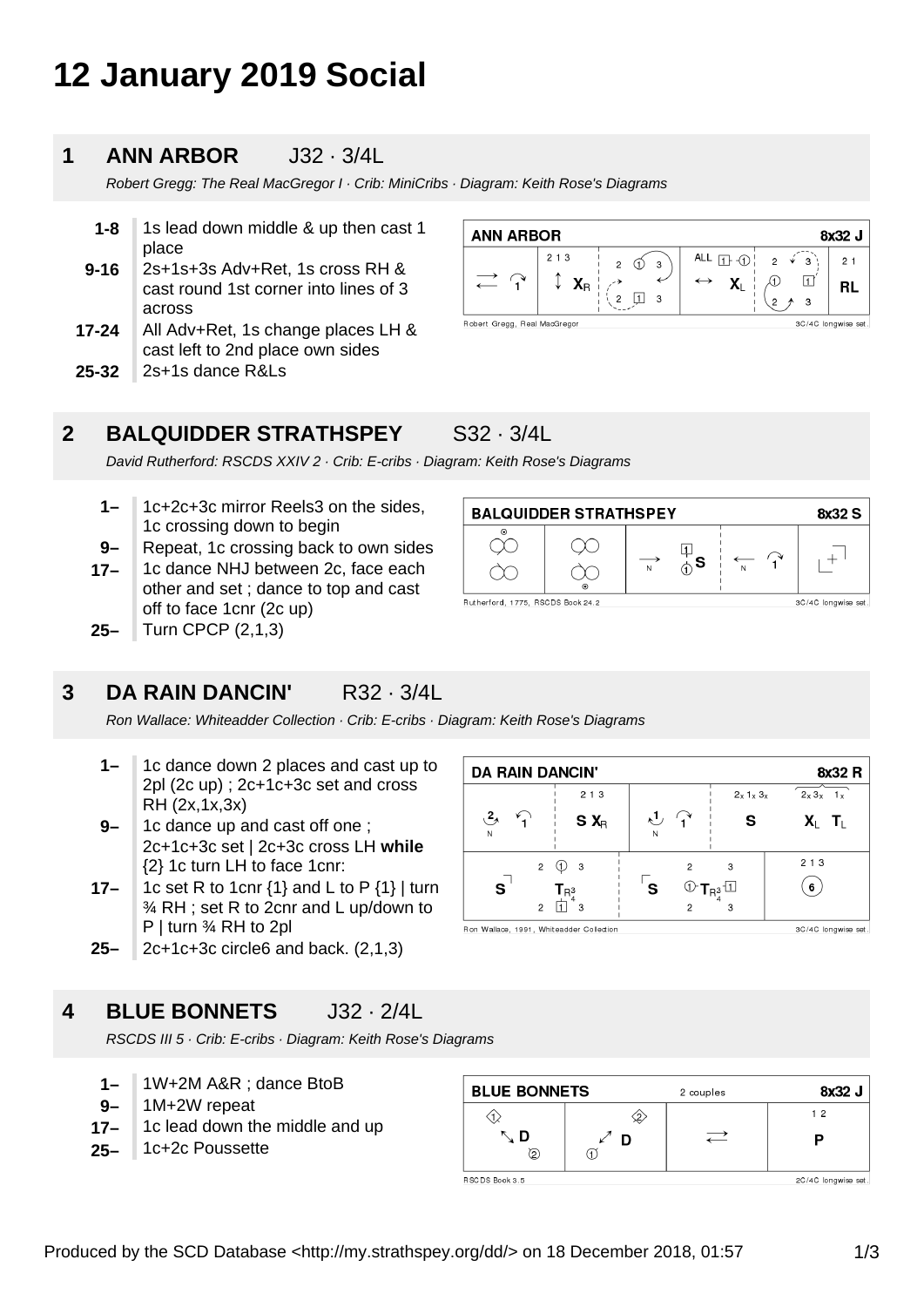# **12 January 2019 Social**

### **1 ANN ARBOR** J32 · 3/4L

Robert Gregg: The Real MacGregor I · Crib: MiniCribs · Diagram: Keith Rose's Diagrams

- **9-16 1-8** 1s lead down middle & up then cast 1 place 2s+1s+3s Adv+Ret, 1s cross RH &
- cast round 1st corner into lines of 3 across
- **17-24** All Adv+Ret, 1s change places LH & cast left to 2nd place own sides
- **25-32** 2s+1s dance R&Ls

| <b>ANN ARBOR</b><br>8x32 J                          |                              |                         |                                             |                                |                      |
|-----------------------------------------------------|------------------------------|-------------------------|---------------------------------------------|--------------------------------|----------------------|
|                                                     | 213<br>$\mathbf{X}_\text{R}$ | 3<br>$\mathcal{P}$<br>3 | ALL $\prod$ $\bigcirc$<br>$\leftrightarrow$ | $2 \sqrt{x}$<br>3 <sup>3</sup> | 2 <sub>1</sub><br>RL |
| Robert Gregg, Real MacGregor<br>3C/4C longwise set. |                              |                         |                                             |                                |                      |

## **2 BALQUIDDER STRATHSPEY** S32 · 3/4L

 $\infty$ 

Rutherford, 1775, RSCDS Book 24.2

**BALQUIDDER STRATHSPEY** 

 $\infty$ 

ÒC

David Rutherford: RSCDS XXIV 2 · Crib: E-cribs · Diagram: Keith Rose's Diagrams

- **1–** 1c+2c+3c mirror Reels3 on the sides, 1c crossing down to begin
- **9–** Repeat, 1c crossing back to own sides
- **17–** 1c dance NHJ between 2c, face each other and set ; dance to top and cast off to face 1cnr (2c up)
- **25–** Turn CPCP (2,1,3)

### **3 DA RAIN DANCIN'** R32 · 3/4L

Ron Wallace: Whiteadder Collection · Crib: E-cribs · Diagram: Keith Rose's Diagrams

- **1–** 1c dance down 2 places and cast up to 2pl (2c up) ; 2c+1c+3c set and cross RH (2x,1x,3x)
- **9–** 1c dance up and cast off one ; 2c+1c+3c set | 2c+3c cross LH **while** {2} 1c turn LH to face 1cnr:
- **17–** 1c set R to 1cnr  $\{1\}$  and L to P  $\{1\}$  | turn ¾ RH ; set R to 2cnr and L up/down to P | turn ¾ RH to 2pl
- **25–** 2c+1c+3c circle6 and back. (2,1,3)

### **4 BLUE BONNETS** J32 · 2/4L

RSCDS III 5 · Crib: E-cribs · Diagram: Keith Rose's Diagrams

- **1–** 1W+2M A&R ; dance BtoB
- **9–** 1M+2W repeat
- **17–** 1c lead down the middle and up
- **25–** 1c+2c Poussette

| <b>DA RAIN DANCIN'</b><br>8x32 R                                                                       |                                                                                         |              |           |
|--------------------------------------------------------------------------------------------------------|-----------------------------------------------------------------------------------------|--------------|-----------|
| 2 1 3                                                                                                  |                                                                                         | $2x$ 1x $3x$ | $2x3x$ 1x |
| $\mathbf{P}_{\lambda}$<br>$S X_R$<br>N                                                                 | N                                                                                       | s            | XI TI     |
| $\overline{2}$<br>- 3<br>$\overline{\mathbf{s}}$<br>$\mathsf{T}_{\mathsf{R}^3}$<br>$\overline{c}$<br>З | $\textcircled{1}$ $\textsf{T}_{\mathsf{R}_{4}^{3}}$ $\textcircled{1}$<br>$\mathfrak{p}$ | 3<br>3       | 213<br>6  |
| Ron Wallace, 1991, Whiteadder Collection<br>3C/4C longwise set.                                        |                                                                                         |              |           |

2 couples

 $\rightleftarrows$ 

 $\diamondsuit$ 

 $\overline{\phantom{a}}$  D

 $\sigma$ 

 $\mathbb{F}_{\hat{\mathbb{O}}}^{\mathbb{I}}$ s

 $\overrightarrow{N}$ 

Ron Wallace, 1991, Whiteadder Collection

**BLUE BONNETS** 

の

∿ D

8x32 S

 $^{+}$ 

3C/4C longwise set

RSC DS Book 3.5

 $\langle \hat{v} \rangle$ 

2C/4C longwise set.

8x32 J

 $12$ 

P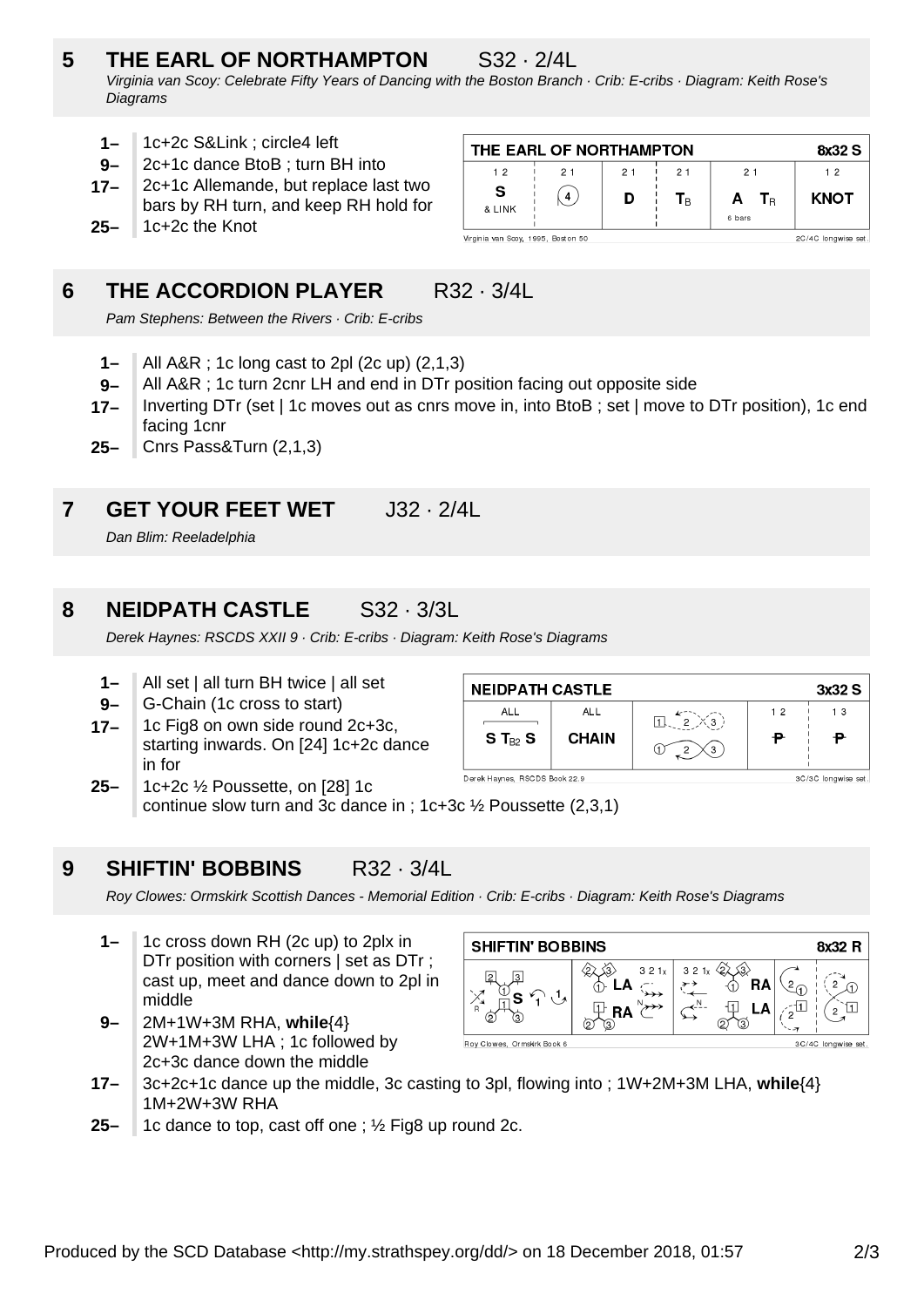# **5 THE EARL OF NORTHAMPTON** S32 · 2/4L

Virginia van Scoy: Celebrate Fifty Years of Dancing with the Boston Branch · Crib: E-cribs · Diagram: Keith Rose's **Diagrams** 

- **1–** 1c+2c S&Link ; circle4 left
- **9–** 2c+1c dance BtoB ; turn BH into
- **17–** 2c+1c Allemande, but replace last two bars by RH turn, and keep RH hold for
- **25–** 1c+2c the Knot

| THE EARL OF NORTHAMPTON                                   |    |    |                         |                            | 8x32 S      |
|-----------------------------------------------------------|----|----|-------------------------|----------------------------|-------------|
| 12                                                        | 21 | 21 | 21                      | 21                         | 12          |
| <b>S</b><br>& LINK                                        | 4  | D  | $\mathsf{T}_\mathsf{B}$ | A<br>$T_{\rm B}$<br>6 bars | <b>KNOT</b> |
| Virginia van Scoy, 1995, Boston 50<br>2C/4C longwise set. |    |    |                         |                            |             |

# **6 THE ACCORDION PLAYER** R32 · 3/4L

Pam Stephens: Between the Rivers · Crib: E-cribs

- **1–** All A&R ; 1c long cast to 2pl (2c up) (2,1,3)
- **9–** All A&R ; 1c turn 2cnr LH and end in DTr position facing out opposite side
- **17–** Inverting DTr (set | 1c moves out as cnrs move in, into BtoB ; set | move to DTr position), 1c end facing 1cnr
- **25–** Cnrs Pass&Turn (2,1,3)

# **7 GET YOUR FEET WET** J32 · 2/4L

Dan Blim: Reeladelphia

# **8 NEIDPATH CASTLE** S32 · 3/3L

Derek Haynes: RSCDS XXII 9 · Crib: E-cribs · Diagram: Keith Rose's Diagrams

- **1–** All set | all turn BH twice | all set
- **9–** G-Chain (1c cross to start)
- **17–** 1c Fig8 on own side round 2c+3c, starting inwards. On [24] 1c+2c dance in for

| <b>NEIDPATH CASTLE</b><br>3x32 S |                     |   |         |                      |
|----------------------------------|---------------------|---|---------|----------------------|
| ALL<br>S T $_{B2}$ S             | ALL<br><b>CHAIN</b> | 3 | 12<br>₽ | 13                   |
| Barak Haimas, BCCBC Bask 00.0    |                     |   |         | $00/00$ languiga ast |

Derek Haynes, RSCDS Book 22.9 **25–** 1c+2c ½ Poussette, on [28] 1c continue slow turn and 3c dance in ; 1c+3c ½ Poussette (2,3,1)

### **9 SHIFTIN' BOBBINS** R32 · 3/4L

Roy Clowes: Ormskirk Scottish Dances - Memorial Edition · Crib: E-cribs · Diagram: Keith Rose's Diagrams

- **1–** 1c cross down RH (2c up) to 2plx in DTr position with corners | set as DTr ; cast up, meet and dance down to 2pl in middle
- **9–** 2M+1W+3M RHA, **while**{4} 2W+1M+3W LHA ; 1c followed by 2c+3c dance down the middle

| <b>SHIFTIN' BOBBINS</b><br>8x32 R |                   |                 |                     |
|-----------------------------------|-------------------|-----------------|---------------------|
| B<br>(3)                          | 321x<br><b>RA</b> | 321x<br>RA<br>з | ◠                   |
| Roy Clowes, Ormskirk Book 6       |                   |                 | 3C/4C longwise set. |

- **17–** 3c+2c+1c dance up the middle, 3c casting to 3pl, flowing into ; 1W+2M+3M LHA, **while**{4} 1M+2W+3W RHA
- **25–** 1c dance to top, cast off one ; ½ Fig8 up round 2c.